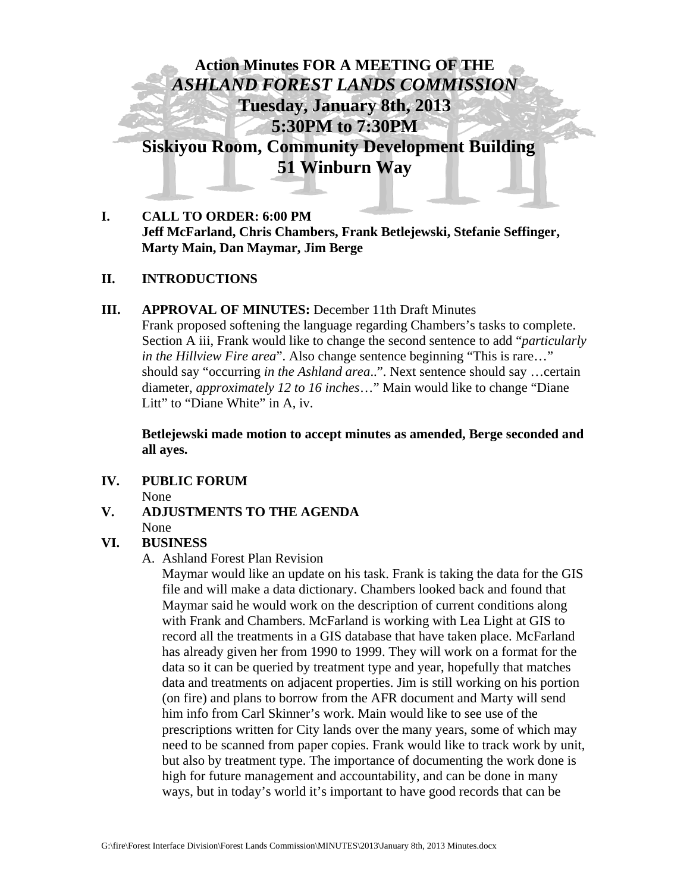

**I. CALL TO ORDER: 6:00 PM Jeff McFarland, Chris Chambers, Frank Betlejewski, Stefanie Seffinger, Marty Main, Dan Maymar, Jim Berge** 

## **II. INTRODUCTIONS**

## **III. APPROVAL OF MINUTES:** December 11th Draft Minutes

Frank proposed softening the language regarding Chambers's tasks to complete. Section A iii, Frank would like to change the second sentence to add "*particularly in the Hillview Fire area*". Also change sentence beginning "This is rare…" should say "occurring *in the Ashland area*..". Next sentence should say …certain diameter, *approximately 12 to 16 inches*…" Main would like to change "Diane Litt" to "Diane White" in A, iv.

**Betlejewski made motion to accept minutes as amended, Berge seconded and all ayes.** 

**IV. PUBLIC FORUM** 

None

**V. ADJUSTMENTS TO THE AGENDA** None

## **VI. BUSINESS**

A. Ashland Forest Plan Revision

Maymar would like an update on his task. Frank is taking the data for the GIS file and will make a data dictionary. Chambers looked back and found that Maymar said he would work on the description of current conditions along with Frank and Chambers. McFarland is working with Lea Light at GIS to record all the treatments in a GIS database that have taken place. McFarland has already given her from 1990 to 1999. They will work on a format for the data so it can be queried by treatment type and year, hopefully that matches data and treatments on adjacent properties. Jim is still working on his portion (on fire) and plans to borrow from the AFR document and Marty will send him info from Carl Skinner's work. Main would like to see use of the prescriptions written for City lands over the many years, some of which may need to be scanned from paper copies. Frank would like to track work by unit, but also by treatment type. The importance of documenting the work done is high for future management and accountability, and can be done in many ways, but in today's world it's important to have good records that can be